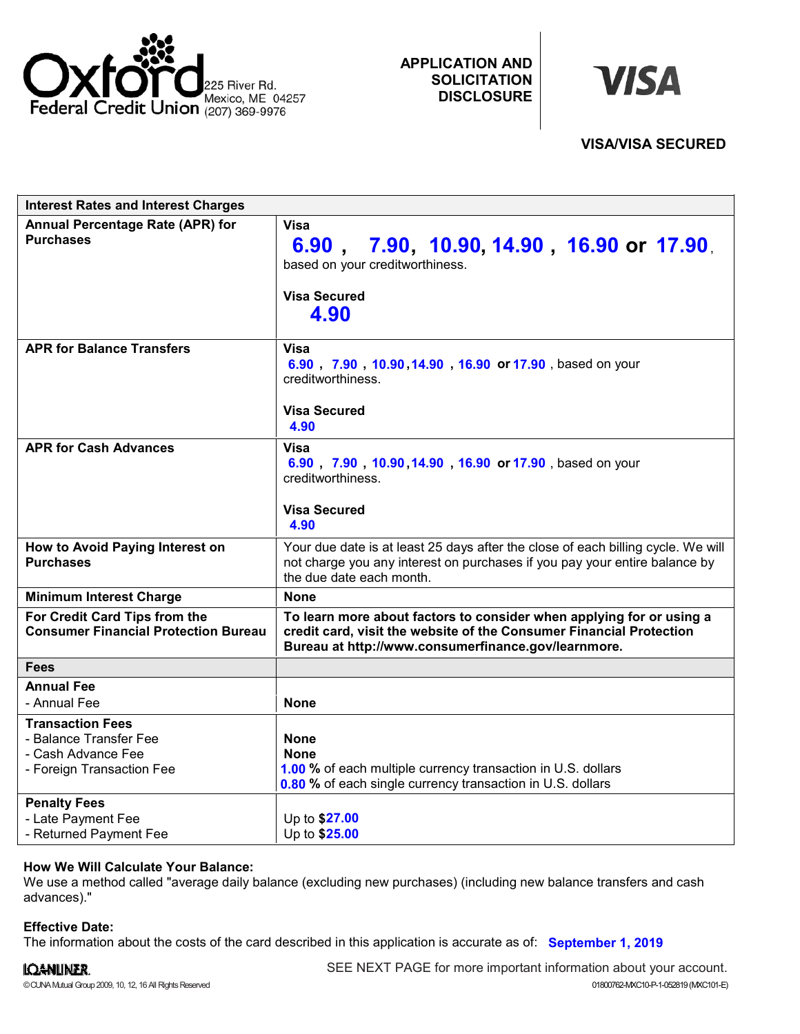

**APPLICATION AND SOLICITATION DISCLOSURE**



| <b>Interest Rates and Interest Charges</b>                                                           |                                                                                                                                                                                                    |
|------------------------------------------------------------------------------------------------------|----------------------------------------------------------------------------------------------------------------------------------------------------------------------------------------------------|
| <b>Annual Percentage Rate (APR) for</b><br><b>Purchases</b>                                          | Visa<br>6.90, 7.90, 10.90, 14.90, 16.90 or 17.90,<br>based on your creditworthiness.<br><b>Visa Secured</b><br>4.90                                                                                |
| <b>APR for Balance Transfers</b>                                                                     | <b>Visa</b><br>6.90, 7.90, 10.90, 14.90, 16.90 or 17.90, based on your<br>creditworthiness.<br><b>Visa Secured</b><br>4.90                                                                         |
| <b>APR for Cash Advances</b>                                                                         | Visa<br>6.90 7.90 10.90 14.90 16.90 or 17.90 based on your<br>creditworthiness.<br><b>Visa Secured</b><br>4.90                                                                                     |
| How to Avoid Paying Interest on<br><b>Purchases</b>                                                  | Your due date is at least 25 days after the close of each billing cycle. We will<br>not charge you any interest on purchases if you pay your entire balance by<br>the due date each month.         |
| <b>Minimum Interest Charge</b>                                                                       | <b>None</b>                                                                                                                                                                                        |
| For Credit Card Tips from the<br><b>Consumer Financial Protection Bureau</b>                         | To learn more about factors to consider when applying for or using a<br>credit card, visit the website of the Consumer Financial Protection<br>Bureau at http://www.consumerfinance.gov/learnmore. |
| <b>Fees</b>                                                                                          |                                                                                                                                                                                                    |
| <b>Annual Fee</b><br>- Annual Fee                                                                    | <b>None</b>                                                                                                                                                                                        |
| <b>Transaction Fees</b><br>- Balance Transfer Fee<br>- Cash Advance Fee<br>- Foreign Transaction Fee | <b>None</b><br><b>None</b><br>1.00 % of each multiple currency transaction in U.S. dollars<br>0.80 % of each single currency transaction in U.S. dollars                                           |
| <b>Penalty Fees</b><br>- Late Payment Fee<br>- Returned Payment Fee                                  | Up to \$27.00<br>Up to \$25.00                                                                                                                                                                     |

## **How We Will Calculate Your Balance:**

We use a method called "average daily balance (excluding new purchases) (including new balance transfers and cash advances)."

## **Effective Date:**

The information about the costs of the card described in this application is accurate as of: **September 1, 2019**

# IQANLINER.